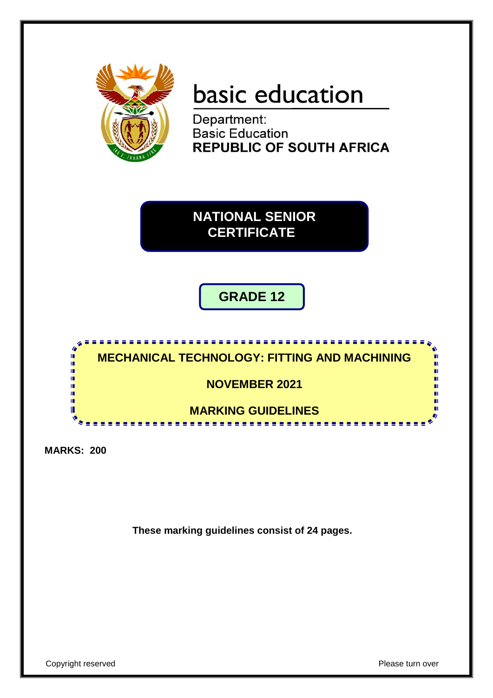

# basic education

Department: **Basic Education REPUBLIC OF SOUTH AFRICA** 

**NATIONAL SENIOR CERTIFICATE**

## **GRADE 12**



**MARKS: 200**

**These marking guidelines consist of 24 pages.**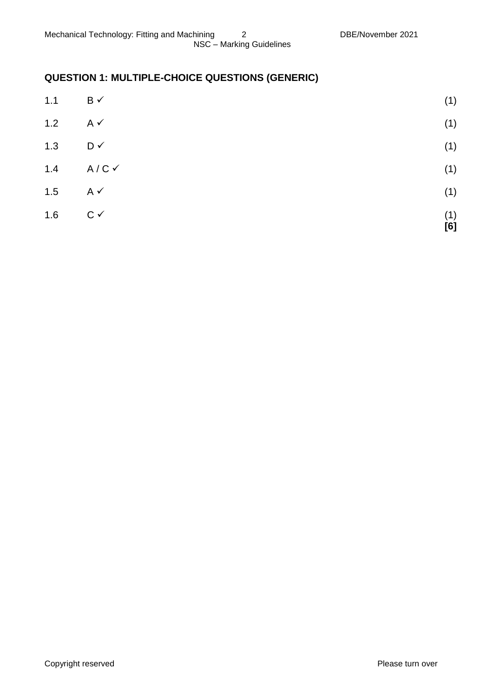## **QUESTION 1: MULTIPLE-CHOICE QUESTIONS (GENERIC)**

| 1.6 | $C \vee$                | (1)<br>[6] |
|-----|-------------------------|------------|
|     |                         | (1)        |
| 1.5 | $A \checkmark$          |            |
| 1.4 | $A/C$ $\checkmark$      | (1)        |
| 1.3 | D✓                      | (1)        |
| 1.2 | $A \checkmark$          | (1)        |
| 1.1 | $\mathsf{B} \checkmark$ | (1)        |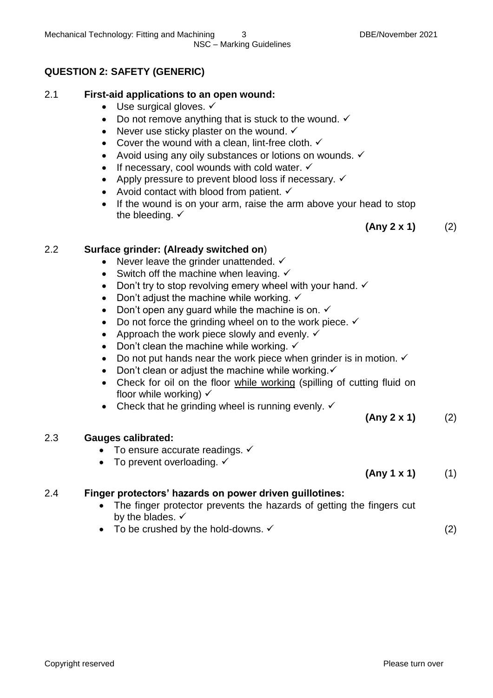#### **QUESTION 2: SAFETY (GENERIC)**

#### 2.1 **First-aid applications to an open wound:**

- $\bullet$  Use surgical gloves.  $\checkmark$
- Do not remove anything that is stuck to the wound.  $\checkmark$
- Never use sticky plaster on the wound.  $\checkmark$
- Cover the wound with a clean, lint-free cloth.  $\checkmark$
- Avoid using any oily substances or lotions on wounds.  $\checkmark$
- If necessary, cool wounds with cold water.  $\checkmark$
- Apply pressure to prevent blood loss if necessary.  $\checkmark$
- Avoid contact with blood from patient.  $\checkmark$
- If the wound is on your arm, raise the arm above your head to stop the bleeding.  $\checkmark$

**(Any 2 x 1)** (2)

#### 2.2 **Surface grinder: (Already switched on**)

- Never leave the grinder unattended.  $\checkmark$
- Switch off the machine when leaving.  $\checkmark$
- Don't try to stop revolving emery wheel with your hand.  $\checkmark$
- Don't adjust the machine while working.  $\checkmark$
- Don't open any guard while the machine is on.  $\checkmark$
- $\bullet$  Do not force the grinding wheel on to the work piece.  $\checkmark$
- Approach the work piece slowly and evenly.  $\checkmark$
- Don't clean the machine while working.  $\checkmark$
- Do not put hands near the work piece when grinder is in motion.  $\checkmark$
- Don't clean or adjust the machine while working. $\checkmark$
- Check for oil on the floor while working (spilling of cutting fluid on floor while working)  $\checkmark$
- Check that he grinding wheel is running evenly.  $\checkmark$

#### 2.3 **Gauges calibrated:**

- $\bullet$  To ensure accurate readings.  $\checkmark$
- To prevent overloading.  $\checkmark$

#### **(Any 1 x 1)** (1)

**(Any 2 x 1)** (2)

#### 2.4 **Finger protectors' hazards on power driven guillotines:**

- The finger protector prevents the hazards of getting the fingers cut by the blades.  $\checkmark$
- To be crushed by the hold-downs.  $\checkmark$  (2)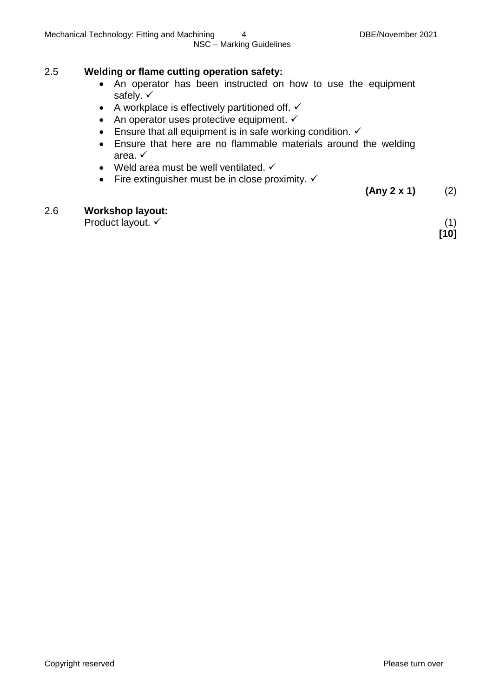#### 2.5 **Welding or flame cutting operation safety:**

- An operator has been instructed on how to use the equipment safely.  $\checkmark$
- A workplace is effectively partitioned off.  $\checkmark$
- An operator uses protective equipment.  $\checkmark$
- Ensure that all equipment is in safe working condition.  $\checkmark$
- Ensure that here are no flammable materials around the welding area.  $\checkmark$
- Weld area must be well ventilated.  $\checkmark$
- Fire extinguisher must be in close proximity.  $\checkmark$

**(Any 2 x 1)** (2)

#### 2.6 **Workshop layout:**

Product layout.  $\checkmark$  (1)

**[10]**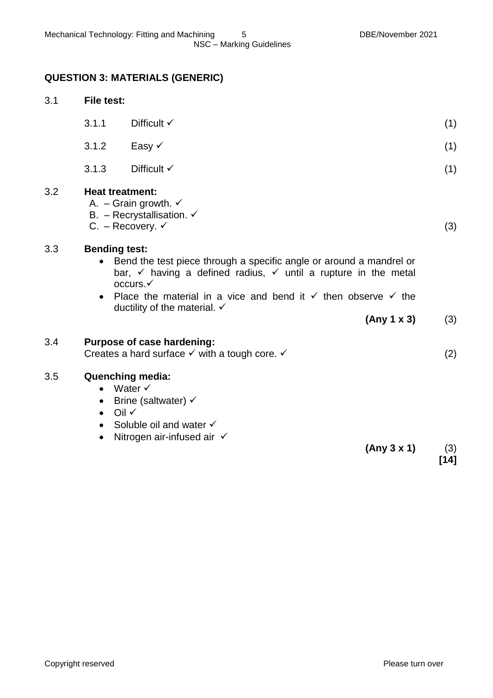## **QUESTION 3: MATERIALS (GENERIC)**

| 3.1 | <b>File test:</b>                                             |                                                                                                                                                                                                                                                                                                          |               |
|-----|---------------------------------------------------------------|----------------------------------------------------------------------------------------------------------------------------------------------------------------------------------------------------------------------------------------------------------------------------------------------------------|---------------|
|     | 3.1.1                                                         | Difficult $\checkmark$                                                                                                                                                                                                                                                                                   | (1)           |
|     | 3.1.2                                                         | Easy √                                                                                                                                                                                                                                                                                                   | (1)           |
|     | 3.1.3                                                         | Difficult $\checkmark$                                                                                                                                                                                                                                                                                   | (1)           |
| 3.2 | <b>Heat treatment:</b>                                        | A. - Grain growth. $\checkmark$<br>B. - Recrystallisation. $\checkmark$<br>C. - Recovery. $\checkmark$                                                                                                                                                                                                   | (3)           |
| 3.3 | <b>Bending test:</b><br>$\bullet$<br>$\bullet$                | Bend the test piece through a specific angle or around a mandrel or<br>bar, $\checkmark$ having a defined radius, $\checkmark$ until a rupture in the metal<br>occurs.<br>Place the material in a vice and bend it $\checkmark$ then observe $\checkmark$ the<br>ductility of the material. $\checkmark$ |               |
|     |                                                               | (Any 1 x 3)                                                                                                                                                                                                                                                                                              | (3)           |
| 3.4 |                                                               | Purpose of case hardening:<br>Creates a hard surface $\checkmark$ with a tough core. $\checkmark$                                                                                                                                                                                                        | (2)           |
| 3.5 | $\bullet$<br>$\bullet$<br>$\bullet$<br>$\bullet$<br>$\bullet$ | <b>Quenching media:</b><br>Water $\checkmark$<br>Brine (saltwater) $\checkmark$<br>Oil $\checkmark$<br>Soluble oil and water √<br>Nitrogen air-infused air √<br>(Any 3 x 1)                                                                                                                              | (3)<br>$[14]$ |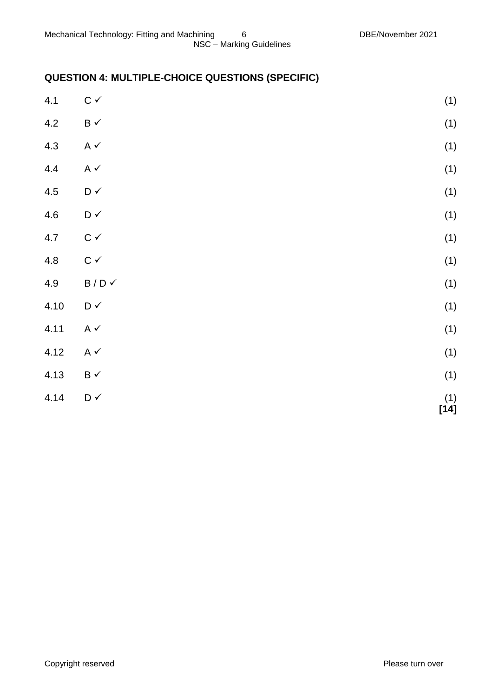## **QUESTION 4: MULTIPLE-CHOICE QUESTIONS (SPECIFIC)**

| 4.1  | $\mathtt{C}\,\checkmark$               | (1)                                              |
|------|----------------------------------------|--------------------------------------------------|
| 4.2  | $\mathsf B\prec$                       | (1)                                              |
| 4.3  | A $\checkmark$                         | (1)                                              |
| 4.4  | A $\checkmark$                         | (1)                                              |
| 4.5  | $\mathsf{D} \mathrel{\checkmark}$      | (1)                                              |
| 4.6  | $\mathsf{D} \mathbin{\checkmark}$      | (1)                                              |
| 4.7  | $\mathtt{C}\,\checkmark$               | (1)                                              |
| 4.8  | $\mathtt{C}\,\checkmark$               | (1)                                              |
| 4.9  | $\mathsf B$ / $\mathsf D$ $\checkmark$ | (1)                                              |
| 4.10 | $\mathsf{D} \mathrel{\checkmark}$      | (1)                                              |
| 4.11 | A $\checkmark$                         | (1)                                              |
| 4.12 | A $\checkmark$                         | (1)                                              |
| 4.13 | $\mathsf B\prec$                       | (1)                                              |
| 4.14 | $\mathsf{D} \mathrel{\checkmark}$      | $\begin{array}{c} (1) \\ {\bf [14]} \end{array}$ |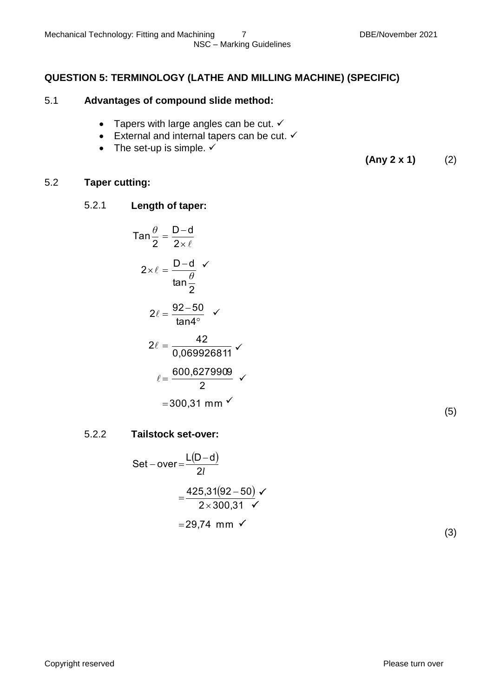#### **QUESTION 5: TERMINOLOGY (LATHE AND MILLING MACHINE) (SPECIFIC)**

#### 5.1 **Advantages of compound slide method:**

- Tapers with large angles can be cut.  $\checkmark$
- External and internal tapers can be cut.  $\checkmark$
- The set-up is simple.  $\checkmark$

**(Any 2 x 1)** (2)

#### 5.2 **Taper cutting:**

#### 5.2.1 **Length of taper:**

$$
Tan \frac{\theta}{2} = \frac{D-d}{2 \times \ell}
$$
  
\n
$$
2 \times \ell = \frac{D-d}{tan \frac{\theta}{2}}
$$
  
\n
$$
2 \ell = \frac{92-50}{tan 4^{\circ}} \checkmark
$$
  
\n
$$
2 \ell = \frac{42}{0.069926811} \checkmark
$$
  
\n
$$
\ell = \frac{600,6279909}{2} \checkmark
$$
  
\n= 300,31 mm  $\checkmark$ 

| ۰.<br>I<br>٦<br>۰, |
|--------------------|
|--------------------|

#### 5.2.2 **Tailstock set-over:**

Set-over=
$$
\frac{L(D-d)}{2l}
$$

$$
= \frac{425,31(92-50)}{2 \times 300,31} \sqrt{}
$$

$$
= 29,74 \text{ mm}
$$

 $\checkmark$ 

(3)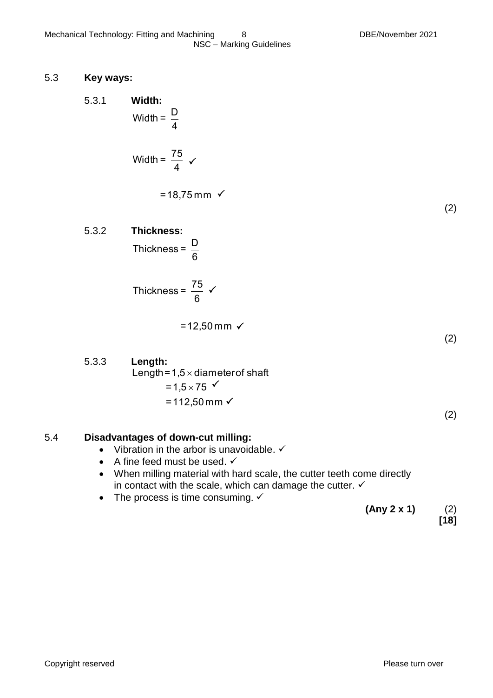#### 5.3 **Key ways:**

5.3.1 **Width:**  
\n
$$
\text{Width} = \frac{D}{4}
$$
\n
$$
\text{Width} = \frac{75}{4} \quad \checkmark
$$

$$
= 18,75 \, \text{mm} \, \checkmark
$$

(2)

(2)

(2)

5.3.2 **Thickness:**

6 Thickness =  $\frac{D}{2}$ 

$$
Thickness = \frac{75}{6} \checkmark
$$

 $=12,50 \,\text{mm}$   $\checkmark$ 

5.3.3 **Length:**  $=1,5\times 75$  '<br>=112,50 mm √  $=1,5\times 75$ Length=1,5 $\times$  diameter of shaft

#### 5.4 **Disadvantages of down-cut milling:**

- Vibration in the arbor is unavoidable.  $\checkmark$
- $\bullet$  A fine feed must be used.  $\checkmark$
- When milling material with hard scale, the cutter teeth come directly in contact with the scale, which can damage the cutter.  $\checkmark$
- The process is time consuming.  $\checkmark$

 **(Any 2 x 1)** (2) **[18]**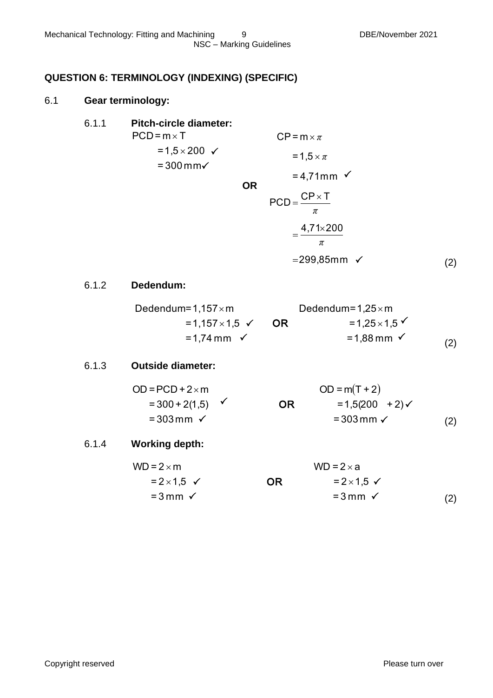#### **QUESTION 6: TERMINOLOGY (INDEXING) (SPECIFIC)**

#### 6.1 **Gear terminology:**

| 6.1.1 | <b>Pitch-circle diameter:</b>                            |           |                               |                                                  |     |
|-------|----------------------------------------------------------|-----------|-------------------------------|--------------------------------------------------|-----|
|       | $PCD = m \times T$                                       |           | $CP = m \times \pi$           |                                                  |     |
|       | = $1,5 \times 200$ ✓<br>$= 300$ mm $\checkmark$          | <b>OR</b> | $= 1.5 \times \pi$            | $= 4,71$ mm $\checkmark$                         |     |
|       |                                                          |           | $PCD = \frac{CP \times T}{T}$ | π<br>$=\frac{4,71\times200}{4}$                  |     |
|       |                                                          |           |                               | $\pi$                                            |     |
|       |                                                          |           |                               | $= 299,85$ mm $\checkmark$                       | (2) |
| 6.1.2 | Dedendum:                                                |           |                               |                                                  |     |
|       | Dedendum= $1,157 \times m$<br>=1,157×1,5 $\checkmark$ OR |           |                               | Dedendum= $1,25 \times m$<br>$= 1,25 \times 1,5$ |     |
|       | $= 1,74 \, \text{mm}$ $\checkmark$                       |           |                               | $= 1,88 \,\mathrm{mm}$ $\checkmark$              | (2) |

#### 6.1.3 **Outside diameter:**

| $OD = PCD + 2 \times m$       |           | $OD = m(T + 2)$         |     |
|-------------------------------|-----------|-------------------------|-----|
| $= 300 + 2(1,5)$ $\checkmark$ | <b>OR</b> | $= 1,5(200 + 2)$        |     |
| $= 303$ mm $\checkmark$       |           | $= 303$ mm $\checkmark$ | (2) |

#### 6.1.4 **Working depth:**

| $WD = 2 \times m$           |    | $WD = 2 \times a$           |     |
|-----------------------------|----|-----------------------------|-----|
| $= 2 \times 1.5 \checkmark$ | OR | $= 2 \times 1.5 \checkmark$ |     |
| $=$ 3 mm $\checkmark$       |    | $=$ 3 mm $\checkmark$       | (2) |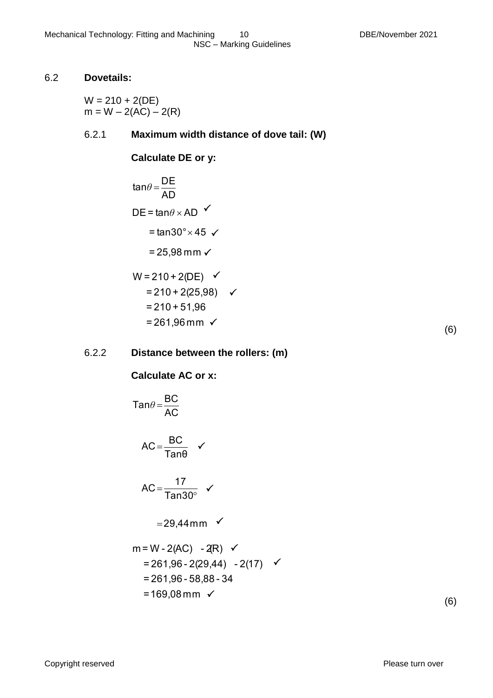#### 6.2 **Dovetails:**

 $W = 210 + 2(DE)$  $m = W - 2(AC) - 2(R)$ 

## 6.2.1 **Maximum width distance of dove tail: (W)**

 $\checkmark$ 

**Calculate DE or y:**

$$
tan \theta = \frac{DE}{AD}
$$
  
DE = tanθ × AD   
= tan30° × 45   
= 25,98 mm   
W = 210 + 2(DE)   
= 210 + 2(25,98)  
= 210 + 51,96

$$
= 210 + 51,96
$$
  
= 261,96 mm  $\checkmark$ 

6.2.2 **Distance between the rollers: (m)**

**Calculate AC or x:**

$$
Tan\theta = \frac{BC}{AC}
$$
  
AC =  $\frac{BC}{Tan\theta}$    
AC =  $\frac{17}{Tan30^{\circ}}$    
= 29,44mm   
m = W - 2(AC) - 2R)   

$$
m = W - 2(AC) - 2(R) \quad \checkmark
$$
  
= 261,96 - 2(29,44) - 2(17) \quad \checkmark  
= 261,96 - 58,88 - 34  
= 169,08 mm \quad \checkmark

(6)

(6)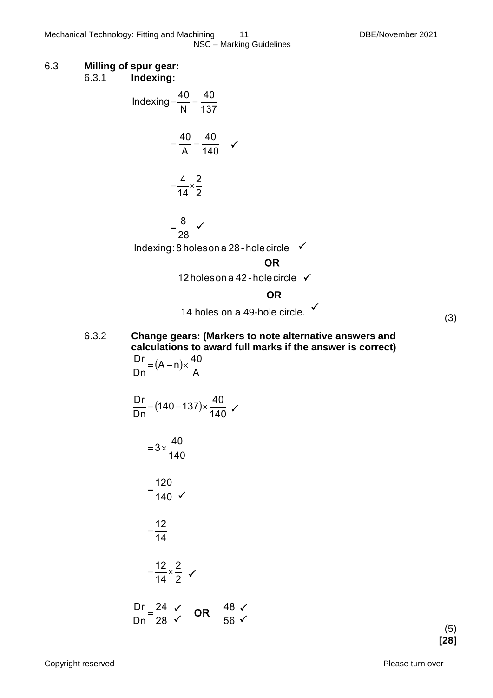NSC – Marking Guidelines

#### 6.3 **Milling of spur gear:** 6.3.1 **Indexing:**



#### 6.3.2 **Change gears: (Markers to note alternative answers and calculations to award full marks if the answer is correct)**  $(A - n)$ A  $(A - n) \times \frac{40}{1}$ Dn  $\frac{Dr}{2} = (A - n) \times$

56

 $\sqrt{56}$ 

$$
\frac{\text{Dr}}{\text{Dn}} = (140 - 137) \times \frac{40}{140} \checkmark
$$
  
= 3 ×  $\frac{40}{140}$   
=  $\frac{120}{140}$    
=  $\frac{12}{14}$   
=  $\frac{12}{14} \times \frac{2}{2}$    
  
 $\frac{\text{Dr}}{\text{p}} = \frac{24}{14} \checkmark$  OR  $\frac{48}{14} \checkmark$ 

28

Dn

$$
\begin{array}{c} (5) \\ {\bf [28]} \end{array}
$$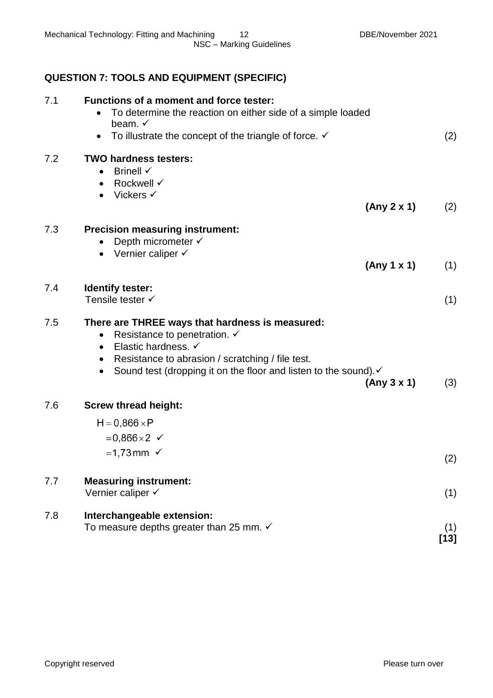## **QUESTION 7: TOOLS AND EQUIPMENT (SPECIFIC)**

| 7.1 | <b>Functions of a moment and force tester:</b><br>To determine the reaction on either side of a simple loaded<br>beam. $\checkmark$<br>To illustrate the concept of the triangle of force. $\checkmark$                                                                              | (2)           |
|-----|--------------------------------------------------------------------------------------------------------------------------------------------------------------------------------------------------------------------------------------------------------------------------------------|---------------|
| 7.2 | <b>TWO hardness testers:</b><br>Brinell $\checkmark$<br>$\bullet$<br>Rockwell √<br>$\bullet$<br>Vickers $\checkmark$                                                                                                                                                                 |               |
|     | (Any 2 x 1)                                                                                                                                                                                                                                                                          | (2)           |
| 7.3 | <b>Precision measuring instrument:</b><br>Depth micrometer √<br>Vernier caliper √<br>$\bullet$<br>(Any 1 x 1)                                                                                                                                                                        | (1)           |
| 7.4 | Identify tester:<br>Tensile tester √                                                                                                                                                                                                                                                 | (1)           |
| 7.5 | There are THREE ways that hardness is measured:<br>Resistance to penetration. ✓<br>$\bullet$<br>Elastic hardness. ✓<br>$\bullet$<br>Resistance to abrasion / scratching / file test.<br>Sound test (dropping it on the floor and listen to the sound). v<br>$\bullet$<br>(Any 3 x 1) | (3)           |
| 7.6 | <b>Screw thread height:</b>                                                                                                                                                                                                                                                          |               |
|     | $H = 0,866 \times P$<br>$= 0,866 \times 2 \checkmark$                                                                                                                                                                                                                                |               |
|     | $=1,73$ mm $\checkmark$                                                                                                                                                                                                                                                              | (2)           |
| 7.7 | <b>Measuring instrument:</b><br>Vernier caliper √                                                                                                                                                                                                                                    | (1)           |
| 7.8 | Interchangeable extension:<br>To measure depths greater than 25 mm. $\checkmark$                                                                                                                                                                                                     | (1)<br>$[13]$ |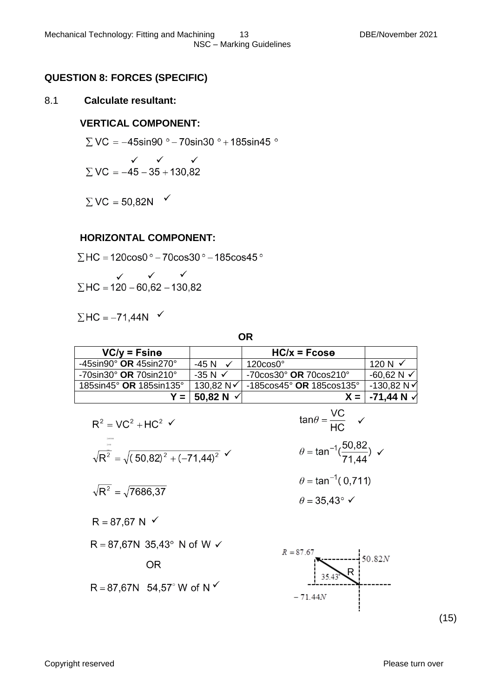#### **QUESTION 8: FORCES (SPECIFIC)**

#### 8.1 **Calculate resultant:**

#### **VERTICAL COMPONENT:**

 $\Sigma$  VC = -45sin90 ° - 70sin30 ° + 185sin45 °

$$
\begin{array}{c}\n\checkmark\quad\checkmark\\ \Sigma\,VC=-45-35+130,82\n\end{array}
$$

 $\Sigma$  VC = 50,82N  $\checkmark$ 

#### **HORIZONTAL COMPONENT:**

 $\Sigma$ HC = 120 $\cos 0$ ° – 70 $\cos 30$ ° – 185 $\cos 45$ °

$$
\angle
$$
  $\angle$   $\sqrt$   
\n $\Sigma$  HC = 120 – 60,62 – 130,82

$$
\Sigma \, \text{HC} = -71,44 \, \text{N} \quad \checkmark
$$

**OR**

| $VC/y = Fsin\theta$                           |                    | $HC/x = Fcos\theta$                          |                          |
|-----------------------------------------------|--------------------|----------------------------------------------|--------------------------|
| -45sin90 $^{\circ}$ OR 45sin270 $^{\circ}$    | -45 N              | $120 \cos 0^\circ$                           | 120 N $\checkmark$       |
| $-70$ sin30 $^{\circ}$ OR 70sin210 $^{\circ}$ | $-35 N \checkmark$ | $-70 \cos 30^\circ$ OR 70 $\cos 210^\circ$   | -60,62 N $\checkmark$    |
| 185sin45 $^{\circ}$ OR 185sin135 $^{\circ}$   | 130.82 N√          | $-185 \cos 45^\circ$ OR 185 $\cos 135^\circ$ | $-130.82 N$              |
|                                               |                    |                                              | $X =  -71,44 N \sqrt{ }$ |

$$
R^{2} = VC^{2} + HC^{2} \checkmark
$$
  
\n
$$
\sqrt{R^{2}} = \sqrt{(50,82)^{2} + (-71,44)^{2}} \checkmark
$$
  
\n
$$
\sqrt{R^{2}} = \sqrt{7686,37}
$$
  
\n
$$
R = 87,67 N \checkmark
$$
  
\n
$$
R = 87,67 N 35,43^{\circ} N \text{ of } W \checkmark
$$
  
\n
$$
R = 87,67 N 54,57^{\circ} W \text{ of } N \checkmark
$$
  
\n
$$
R = 87,67 N 54,57^{\circ} W \text{ of } N \checkmark
$$
  
\n
$$
R = 87,67 N 54,57^{\circ} W \text{ of } N \checkmark
$$
  
\n
$$
R = 87,67 N 54,57^{\circ} W \text{ of } N \checkmark
$$
  
\n
$$
R = 87,67 N 54,57^{\circ} W \text{ of } N \checkmark
$$
  
\n
$$
R = 87,67 N 54,57^{\circ} W \text{ of } N \checkmark
$$
  
\n
$$
R = 87,67 N 54,57^{\circ} W \text{ of } N \checkmark
$$
  
\n
$$
R = 87,67 N 54,57^{\circ} W \text{ of } N \checkmark
$$
  
\n
$$
R = 87,67 N 54,57^{\circ} W \text{ of } N \checkmark
$$

Copyright reserved Please turn over

 $\frac{1}{2}$ 

 $-71.44N$ 

(15)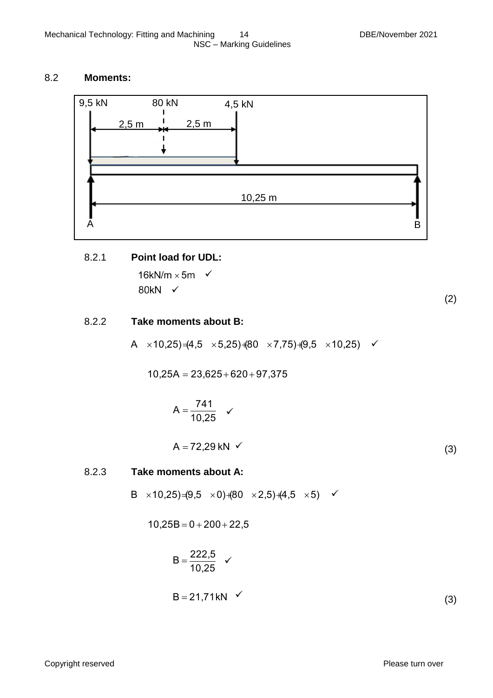#### 8.2 **Moments:**



#### 8.2.1 **Point load for UDL:**

16kN/m  $\times$  5m  $\checkmark$ 80kN √

(2)

#### 8.2.2 **Take moments about B:**

 $(A \times 10,25) = (4,5 \times 5,25) + (80 \times 7,75) + (9,5 \times 10,25)$ 

 $10,25A = 23,625 + 620 + 97,375$ 

$$
A=\frac{741}{10,25} \quad \checkmark
$$

 $A = 72,29$  kN  $\checkmark$ (3)

#### 8.2.3 **Take moments about A:**

 $B \times 10,25$  (9,5  $\times$  0) (80  $\times$  2,5) (4,5  $\times$  5)  $\checkmark$ 

$$
10,25B=0+200+22,5
$$

$$
B = \frac{222.5}{10.25} \quad \checkmark
$$
  
B = 21.71kN (3)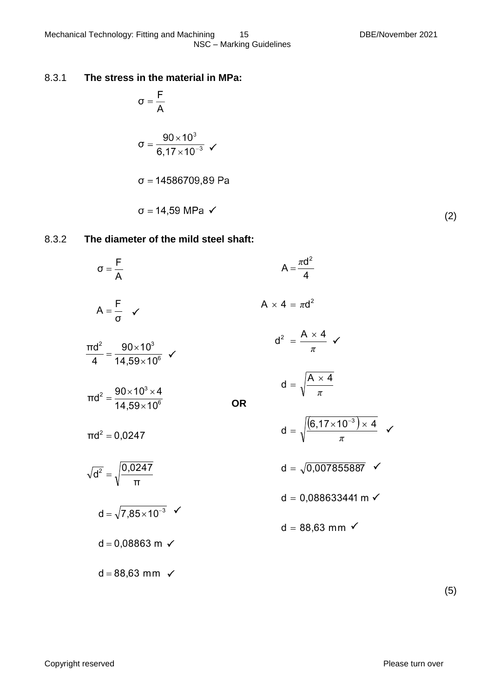$\overline{\phantom{a}}$ 

#### 8.3.1 **The stress in the material in MPa:**

$$
\sigma = \frac{F}{A}
$$
  
\n
$$
\sigma = \frac{90 \times 10^3}{6,17 \times 10^{-3}} \checkmark
$$
  
\n
$$
\sigma = 14586709,89 \text{ Pa}
$$
  
\n
$$
\sigma = 14,59 \text{ MPa } \checkmark
$$

#### 8.3.2 **The diameter of the mild steel shaft:**

| $\sigma = \frac{F}{A}$                                                      | $A = \frac{\pi d^2}{4}$                                            |  |
|-----------------------------------------------------------------------------|--------------------------------------------------------------------|--|
| $A = \frac{F}{\sigma}$ $\checkmark$                                         | $A \times 4 = \pi d^2$                                             |  |
| $\frac{\pi d^2}{4} = \frac{90 \times 10^3}{14.59 \times 10^6}$ $\checkmark$ | $d^2 = \frac{A \times 4}{\pi}$ $\checkmark$                        |  |
| $\pi d^2 = \frac{90 \times 10^3 \times 4}{14.59 \times 10^6}$               | $d = \sqrt{\frac{A \times 4}{\pi}}$<br>ΟR                          |  |
| $\pi d^2 = 0.0247$                                                          | $d = \sqrt{\frac{(6.17 \times 10^{-3}) \times 4}{5}}$ $\checkmark$ |  |
| $\sqrt{d^2} = \sqrt{\frac{0.0247}{\pi}}$                                    | $d = \sqrt{0,007855887}$ $\checkmark$                              |  |
| $d = \sqrt{7,85 \times 10^{-3}}$ $\checkmark$                               | $d = 0,088633441$ m $\checkmark$                                   |  |
| $d = 0,08863$ m $\checkmark$                                                | $d = 88,63$ mm $\checkmark$                                        |  |
| $d = 88,63$ mm $\checkmark$                                                 |                                                                    |  |

(5)

(2)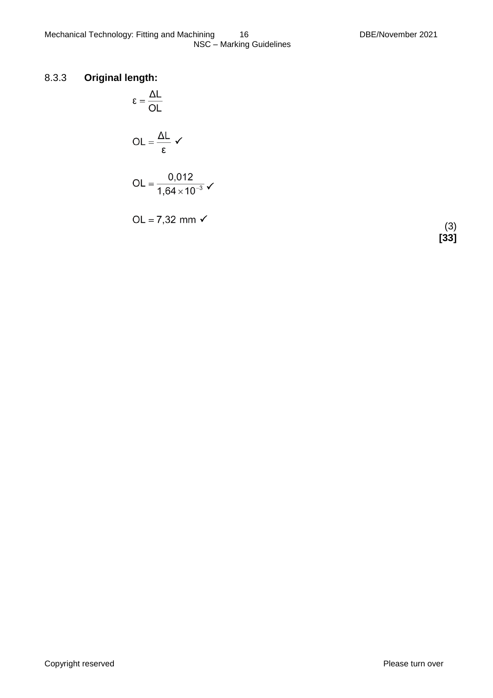#### 8.3.3 **Original length:**

$$
\epsilon = \frac{\Delta L}{OL}
$$

$$
OL = \frac{\Delta L}{\epsilon} \checkmark
$$

$$
OL = \frac{0,012}{1,64 \times 10^{-3}} \checkmark
$$

OL =  $7,32$  mm  $\checkmark$ 

(3) **[33]**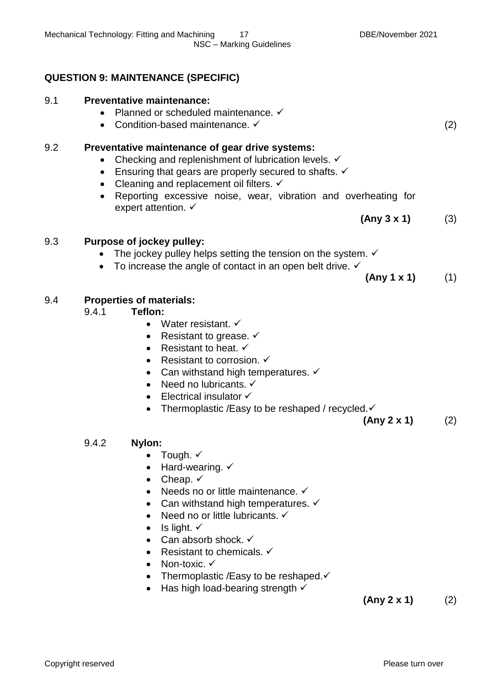## **QUESTION 9: MAINTENANCE (SPECIFIC)**

## 9.1 **Preventative maintenance:**

- Planned or scheduled maintenance.  $\checkmark$
- Condition-based maintenance.  $\checkmark$  (2)

## 9.2 **Preventative maintenance of gear drive systems:**

- Checking and replenishment of lubrication levels.  $\checkmark$
- **Ensuring that gears are properly secured to shafts.**  $\checkmark$
- $\bullet$  Cleaning and replacement oil filters.  $\checkmark$
- Reporting excessive noise, wear, vibration and overheating for expert attention.  $\checkmark$

**(Any 3 x 1)** (3)

## 9.3 **Purpose of jockey pulley:**

- The jockey pulley helps setting the tension on the system.  $\checkmark$
- To increase the angle of contact in an open belt drive.  $\checkmark$

**(Any 1 x 1)** (1)

#### 9.4 **Properties of materials:**

- 9.4.1 **Teflon:** 
	- Water resistant.  $\checkmark$
	- Resistant to grease.  $\checkmark$
	- Resistant to heat.  $\checkmark$
	- Resistant to corrosion.  $\checkmark$
	- Can withstand high temperatures.  $\checkmark$
	- Need no lubricants.  $\checkmark$
	- $\bullet$  Electrical insulator  $\checkmark$
	- Thermoplastic /Easy to be reshaped / recycled. ✓

**(Any 2 x 1)** (2)

#### 9.4.2 **Nylon:**

- Tough.  $\checkmark$
- $\bullet$  Hard-wearing.  $\checkmark$
- Cheap.  $\checkmark$
- Needs no or little maintenance.  $\checkmark$
- Can withstand high temperatures.  $\checkmark$
- Need no or little lubricants.  $\checkmark$
- $\bullet$  Is light.  $\checkmark$
- Can absorb shock.  $\checkmark$
- Resistant to chemicals.  $\checkmark$
- Non-toxic.  $\checkmark$
- Thermoplastic /Easy to be reshaped. $\checkmark$
- $\bullet$  Has high load-bearing strength  $\checkmark$

**(Any 2 x 1)** (2)

Copyright reserved **Please turn over the Copyright reserved** Please turn over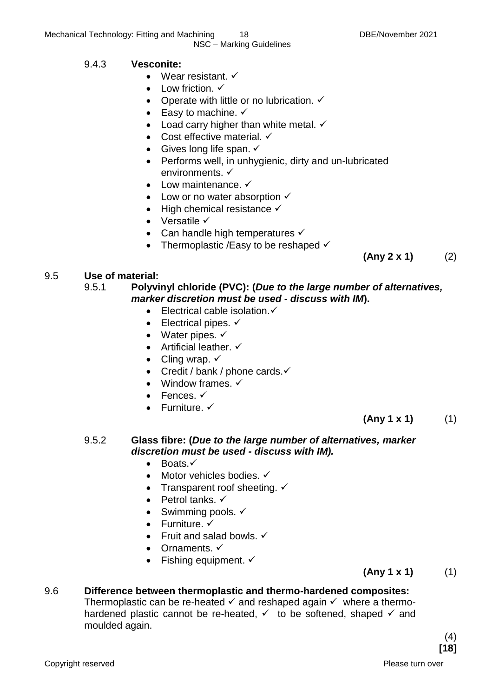NSC – Marking Guidelines

## 9.4.3 **Vesconite:**

- Wear resistant.  $\checkmark$
- $\bullet$  Low friction.  $\checkmark$
- Operate with little or no lubrication.  $\checkmark$
- Easy to machine.  $\checkmark$
- $\bullet$  Load carry higher than white metal.  $\checkmark$
- Cost effective material.  $\checkmark$
- Gives long life span.  $\checkmark$
- Performs well, in unhygienic, dirty and un-lubricated environments.
- Low maintenance.  $\checkmark$
- Low or no water absorption  $\checkmark$
- $\bullet$  High chemical resistance  $\checkmark$
- $\bullet$  Versatile  $\checkmark$
- Can handle high temperatures  $\checkmark$
- Thermoplastic /Easy to be reshaped  $\checkmark$

9.5 **Use of material:**

#### 9.5.1 **Polyvinyl chloride (PVC): (***Due to the large number of alternatives, marker discretion must be used - discuss with IM***).**

- $\bullet$  Electrical cable isolation. $\checkmark$
- $\bullet$  Electrical pipes.  $\checkmark$
- Water pipes.  $\checkmark$
- Artificial leather.  $\checkmark$
- Cling wrap.  $\checkmark$
- Credit / bank / phone cards. $\checkmark$
- Window frames.  $\checkmark$
- $\bullet$  Fences.  $\checkmark$
- $\bullet$  Furniture  $\checkmark$

 **(Any 1 x 1)** (1)

**(Any 2 x 1)** (2)

## 9.5.2 **Glass fibre: (***Due to the large number of alternatives, marker discretion must be used - discuss with IM).*

- $\bullet$  Boats  $\checkmark$
- $\bullet$  Motor vehicles bodies.  $\checkmark$
- Transparent roof sheeting.  $\checkmark$
- Petrol tanks.  $\checkmark$
- $\bullet$  Swimming pools.  $\checkmark$
- $\bullet$  Furniture.  $\checkmark$
- Fruit and salad bowls.  $\checkmark$
- Ornaments.  $\checkmark$
- Fishing equipment.  $\checkmark$

**(Any 1 x 1)** (1)

### 9.6 **Difference between thermoplastic and thermo-hardened composites:**

Thermoplastic can be re-heated  $\checkmark$  and reshaped again  $\checkmark$  where a thermohardened plastic cannot be re-heated,  $\checkmark$  to be softened, shaped  $\checkmark$  and moulded again.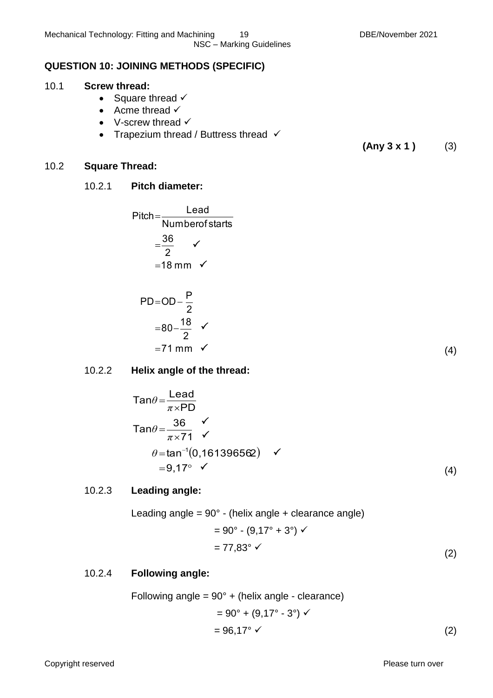NSC – Marking Guidelines

## **QUESTION 10: JOINING METHODS (SPECIFIC)**

## 10.1 **Screw thread:**

- Square thread  $\checkmark$
- Acme thread  $\checkmark$
- V-screw thread  $\checkmark$
- Trapezium thread / Buttress thread  $\checkmark$

**(Any 3 x 1 )** (3)

## 10.2 **Square Thread:**

## 10.2.1 **Pitch diameter:**

Pitch = 
$$
\frac{\text{lead}}{\text{Numberof starts}}
$$

\n=  $\frac{36}{2}$   $\checkmark$ 

\n= 18 mm  $\checkmark$ 

\nPD = OD -  $\frac{P}{2}$ 

\n= 80 -  $\frac{18}{2}$   $\checkmark$ 

\n= 71 mm  $\checkmark$ 

\n(4)

## 10.2.2 **Helix angle of the thread:**

$$
\tan \theta = \frac{\text{lead}}{\pi \times \text{PD}}
$$
\n
$$
\tan \theta = \frac{36}{\pi \times 71} \checkmark
$$
\n
$$
\theta = \tan^{-1}(0, 161396562) \checkmark
$$
\n
$$
= 9,17^{\circ} \checkmark
$$
\n(4)

## 10.2.3 **Leading angle:**

Leading angle =  $90^\circ$  - (helix angle + clearance angle)  $= 90^{\circ}$  - (9,17° + 3°)  $\checkmark$ 

$$
=77,83^{\circ} \checkmark \tag{2}
$$

## 10.2.4 **Following angle:**

Following angle = 
$$
90^\circ
$$
 + (helix angle - clearance)  
=  $90^\circ$  +  $(9,17^\circ - 3^\circ) \checkmark$   
=  $96,17^\circ \checkmark$  (2)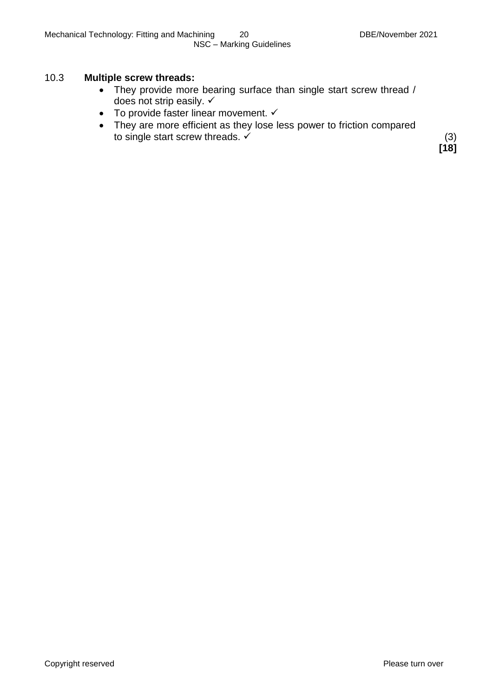#### 10.3 **Multiple screw threads:**

- They provide more bearing surface than single start screw thread / does not strip easily.  $\checkmark$
- $\bullet$  To provide faster linear movement.  $\checkmark$
- They are more efficient as they lose less power to friction compared to single start screw threads.  $\checkmark$  (3)

**[18]**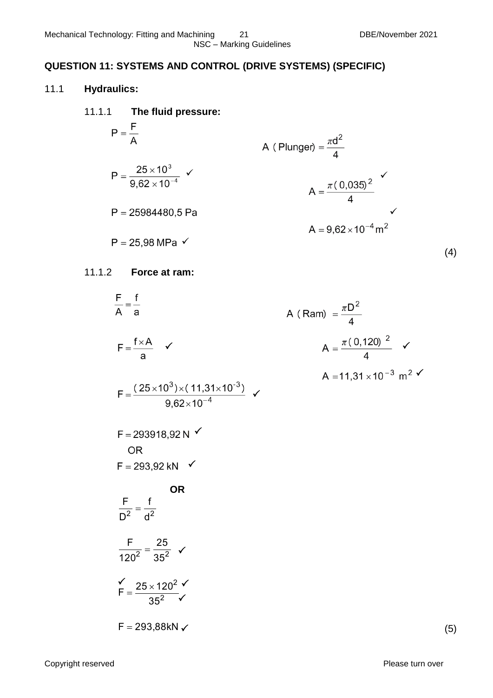#### NSC – Marking Guidelines

## **QUESTION 11: SYSTEMS AND CONTROL (DRIVE SYSTEMS) (SPECIFIC)**

#### 11.1 **Hydraulics:**

- 11.1.1 **The fluid pressure:**
- $P = \frac{F}{\Delta}$ A (Plunger) =  $\frac{\pi d^2}{4}$  $P = \frac{25 \times 10^3}{9.62 \times 10^{-4}}$  $\checkmark$  $P = 25984480,5$  Pa  $\checkmark$  $P = 25,98 \text{ MPa}$   $\checkmark$ (4)

#### 11.1.2 **Force at ram:**

$$
\frac{F}{A} = \frac{f}{a}
$$
\n
$$
F = \frac{f \times A}{a}
$$
\n
$$
A (Ram) = \frac{\pi D^{2}}{4}
$$
\n
$$
A = \frac{\pi (0.120)^{2}}{4}
$$
\n
$$
A = \frac{\pi (0.120)^{2}}{4}
$$
\n
$$
A = 11,31 \times 10^{-3} \text{ m}^{2}
$$
\n
$$
F = 293918,92 \text{ N}
$$
\n
$$
OR
$$
\n
$$
F = 293,92 \text{ kN}
$$
\n
$$
OR
$$
\n
$$
\frac{F}{D^{2}} = \frac{f}{d^{2}}
$$
\n
$$
\frac{F}{120^{2}} = \frac{25}{35^{2}}
$$
\n
$$
Y = \frac{25 \times 120^{2}}{35^{2}}
$$
\n
$$
F = 293,88 \text{ kN}
$$

(5)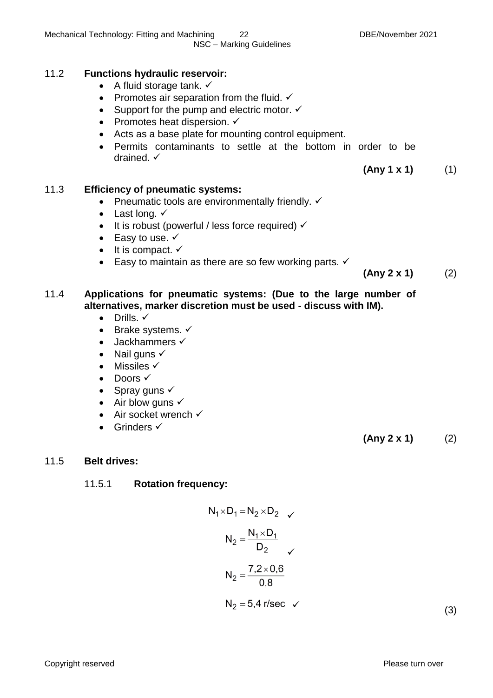#### 11.2 **Functions hydraulic reservoir:**

- A fluid storage tank.  $\checkmark$
- Promotes air separation from the fluid.  $\checkmark$
- Support for the pump and electric motor.  $\checkmark$
- Promotes heat dispersion.  $\checkmark$
- Acts as a base plate for mounting control equipment.
- Permits contaminants to settle at the bottom in order to be drained.  $\checkmark$

#### 11.3 **Efficiency of pneumatic systems:**

- Pneumatic tools are environmentally friendly.  $\checkmark$
- Last long.  $\checkmark$
- $\bullet$  It is robust (powerful / less force required)  $\checkmark$
- Easy to use.  $\checkmark$
- $\bullet$  It is compact.  $\checkmark$
- Easy to maintain as there are so few working parts.  $\checkmark$

**(Any 2 x 1)** (2)

**(Any 1 x 1)** (1)

#### 11.4 **Applications for pneumatic systems: (Due to the large number of alternatives, marker discretion must be used - discuss with IM).**

- $\bullet$  Drills.  $\checkmark$
- Brake systems.  $\checkmark$
- $\bullet$  Jackhammers  $\checkmark$
- Nail guns  $\checkmark$
- $\bullet$  Missiles  $\checkmark$
- $\bullet$  Doors  $\checkmark$
- Spray guns  $\checkmark$
- $\bullet$  Air blow guns  $\checkmark$
- $\bullet$  Air socket wrench  $\checkmark$
- Grinders  $\checkmark$

**(Any 2 x 1)** (2)

#### 11.5 **Belt drives:**

#### 11.5.1 **Rotation frequency:**

$$
N_1 \times D_1 = N_2 \times D_2 \quad \checkmark
$$
  

$$
N_2 = \frac{N_1 \times D_1}{D_2} \quad \checkmark
$$
  

$$
N_2 = \frac{7.2 \times 0.6}{0.8}
$$
  

$$
N_2 = 5.4 \text{ r/sec}
$$

 $\checkmark$  (3)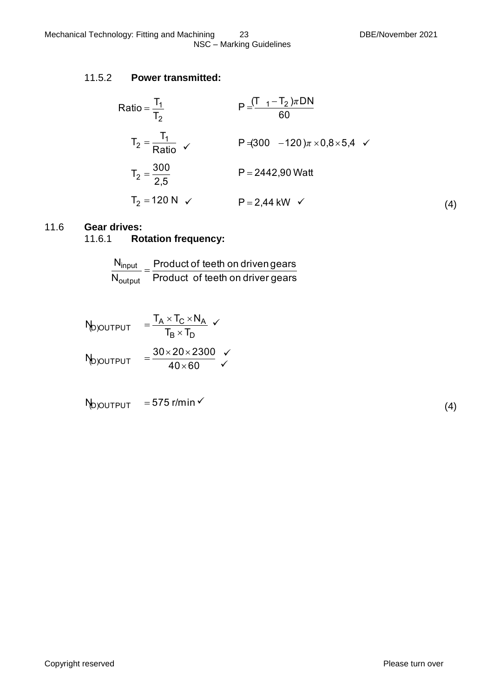#### 11.5.2 **Power transmitted:**

Ratio = 
$$
\frac{T_1}{T_2}
$$
  
\n
$$
P = \frac{(T_1 - T_2)\pi DN}{60}
$$
\n
$$
T_2 = \frac{T_1}{Ratio} \quad \checkmark
$$
\n
$$
P = (300 - 120)\pi \times 0.8 \times 5.4 \quad \checkmark
$$
\n
$$
T_2 = \frac{300}{2.5}
$$
\n
$$
P = 2442,90 \text{ Watt}
$$
\n
$$
P = 2.44 \text{ kW} \quad \checkmark
$$
\n
$$
(4)
$$

#### 11.6 **Gear drives:** 11.6.1 **Rotation frequency:**

# $\overline{N}$

| $N_{input}$                    | Product of teeth on driven gears |  |  |
|--------------------------------|----------------------------------|--|--|
| $\mathsf{N}_{\mathsf{output}}$ | Product of teeth on driver gears |  |  |

$$
N_{D)OUTPUT} = \frac{T_A \times T_C \times N_A}{T_B \times T_D} \times
$$
\n
$$
N_{D)OUTPUT} = \frac{30 \times 20 \times 2300}{40 \times 60} \times
$$

$$
N_{\text{D} \text{O} \text{U} \text{T} \text{P} \text{U} \text{T}} = 575 \, \text{r/min} \, \text{V}
$$

|--|